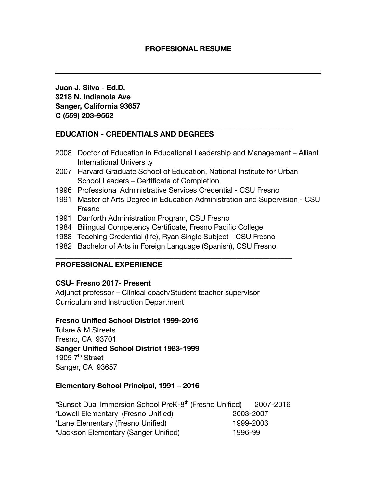**Juan J. Silva - Ed.D. 3218 N. Indianola Ave Sanger, California 93657 C (559) 203-9562**

### **EDUCATION - CREDENTIALS AND DEGREES**

- 2008 Doctor of Education in Educational Leadership and Management Alliant International University
- 2007 Harvard Graduate School of Education, National Institute for Urban School Leaders – Certificate of Completion

**\_\_\_\_\_\_\_\_\_\_\_\_\_\_\_\_\_\_\_\_\_\_\_\_\_\_\_\_\_\_\_\_\_\_\_\_\_\_\_\_\_\_\_\_\_\_\_\_\_\_\_\_\_\_\_\_\_\_\_\_\_\_\_\_**

- 1996 Professional Administrative Services Credential CSU Fresno
- 1991 Master of Arts Degree in Education Administration and Supervision CSU Fresno
- 1991 Danforth Administration Program, CSU Fresno
- 1984 Bilingual Competency Certificate, Fresno Pacific College
- 1983 Teaching Credential (life), Ryan Single Subject CSU Fresno
- 1982 Bachelor of Arts in Foreign Language (Spanish), CSU Fresno

**\_\_\_\_\_\_\_\_\_\_\_\_\_\_\_\_\_\_\_\_\_\_\_\_\_\_\_\_\_\_\_\_\_\_\_\_\_\_\_\_\_\_\_\_\_\_\_\_\_\_\_\_\_\_\_\_\_\_\_\_\_\_\_\_**

### **PROFESSIONAL EXPERIENCE**

### **CSU- Fresno 2017- Present**

Adjunct professor – Clinical coach/Student teacher supervisor Curriculum and Instruction Department

### **Fresno Unified School District 1999-2016**

Tulare & M Streets Fresno, CA 93701 **Sanger Unified School District 1983-1999** 1905  $7<sup>th</sup>$  Street Sanger, CA 93657

## **Elementary School Principal, 1991 – 2016**

| *Sunset Dual Immersion School PreK-8 <sup>th</sup> (Fresno Unified) |           | 2007-2016 |
|---------------------------------------------------------------------|-----------|-----------|
| *Lowell Elementary (Fresno Unified)                                 | 2003-2007 |           |
| *Lane Elementary (Fresno Unified)                                   | 1999-2003 |           |
| *Jackson Elementary (Sanger Unified)                                | 1996-99   |           |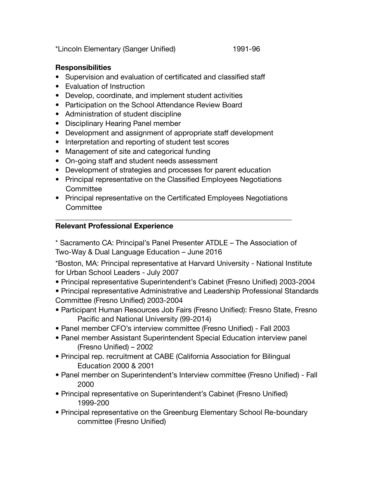\*Lincoln Elementary (Sanger Unified) 1991-96

## **Responsibilities**

- Supervision and evaluation of certificated and classified staff
- Evaluation of Instruction
- Develop, coordinate, and implement student activities
- Participation on the School Attendance Review Board
- Administration of student discipline
- Disciplinary Hearing Panel member
- Development and assignment of appropriate staff development
- Interpretation and reporting of student test scores
- Management of site and categorical funding
- On-going staff and student needs assessment
- Development of strategies and processes for parent education
- Principal representative on the Classified Employees Negotiations **Committee**
- Principal representative on the Certificated Employees Negotiations **Committee**

**\_\_\_\_\_\_\_\_\_\_\_\_\_\_\_\_\_\_\_\_\_\_\_\_\_\_\_\_\_\_\_\_\_\_\_\_\_\_\_\_\_\_\_\_\_\_\_\_\_\_\_\_\_\_\_\_\_\_\_\_\_\_\_\_**

# **Relevant Professional Experience**

\* Sacramento CA: Principal's Panel Presenter ATDLE – The Association of Two-Way & Dual Language Education – June 2016

\*Boston, MA: Principal representative at Harvard University - National Institute for Urban School Leaders - July 2007

**•** Principal representative Superintendent's Cabinet (Fresno Unified) 2003-2004

• Principal representative Administrative and Leadership Professional Standards Committee (Fresno Unified) 2003-2004

- Participant Human Resources Job Fairs (Fresno Unified): Fresno State, Fresno Pacific and National University (99-2014)
- Panel member CFO's interview committee (Fresno Unified) Fall 2003
- Panel member Assistant Superintendent Special Education interview panel (Fresno Unified) – 2002
- Principal rep. recruitment at CABE (California Association for Bilingual Education 2000 & 2001
- Panel member on Superintendent's Interview committee (Fresno Unified) Fall 2000
- Principal representative on Superintendent's Cabinet (Fresno Unified) 1999-200
- Principal representative on the Greenburg Elementary School Re-boundary committee (Fresno Unified)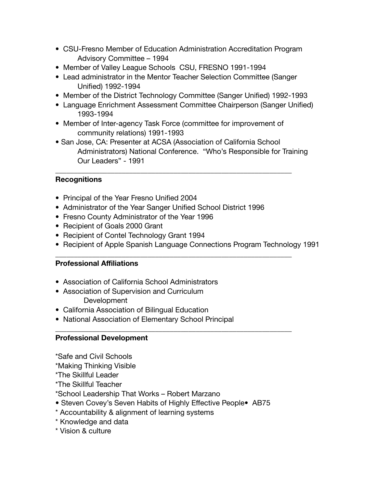- CSU-Fresno Member of Education Administration Accreditation Program Advisory Committee – 1994
- Member of Valley League Schools CSU, FRESNO 1991-1994
- Lead administrator in the Mentor Teacher Selection Committee (Sanger Unified) 1992-1994
- Member of the District Technology Committee (Sanger Unified) 1992-1993
- Language Enrichment Assessment Committee Chairperson (Sanger Unified) 1993-1994
- Member of Inter-agency Task Force (committee for improvement of community relations) 1991-1993
- San Jose, CA: Presenter at ACSA (Association of California School Administrators) National Conference. "Who's Responsible for Training Our Leaders" - 1991

**\_\_\_\_\_\_\_\_\_\_\_\_\_\_\_\_\_\_\_\_\_\_\_\_\_\_\_\_\_\_\_\_\_\_\_\_\_\_\_\_\_\_\_\_\_\_\_\_\_\_\_\_\_\_\_\_\_\_\_\_\_\_\_\_**

## **Recognitions**

- Principal of the Year Fresno Unified 2004
- Administrator of the Year Sanger Unified School District 1996
- Fresno County Administrator of the Year 1996
- Recipient of Goals 2000 Grant
- Recipient of Contel Technology Grant 1994
- Recipient of Apple Spanish Language Connections Program Technology 1991

**\_\_\_\_\_\_\_\_\_\_\_\_\_\_\_\_\_\_\_\_\_\_\_\_\_\_\_\_\_\_\_\_\_\_\_\_\_\_\_\_\_\_\_\_\_\_\_\_\_\_\_\_\_\_\_\_\_\_\_\_\_\_\_\_**

**\_\_\_\_\_\_\_\_\_\_\_\_\_\_\_\_\_\_\_\_\_\_\_\_\_\_\_\_\_\_\_\_\_\_\_\_\_\_\_\_\_\_\_\_\_\_\_\_\_\_\_\_\_\_\_\_\_\_\_\_\_\_\_\_**

### **Professional Affiliations**

- Association of California School Administrators
- Association of Supervision and Curriculum Development
- California Association of Bilingual Education
- National Association of Elementary School Principal

## **Professional Development**

\*Safe and Civil Schools

- \*Making Thinking Visible
- \*The Skillful Leader

\*The Skillful Teacher

\*School Leadership That Works – Robert Marzano

- Steven Covey's Seven Habits of Highly Effective People• AB75
- \* Accountability & alignment of learning systems
- \* Knowledge and data
- \* Vision & culture